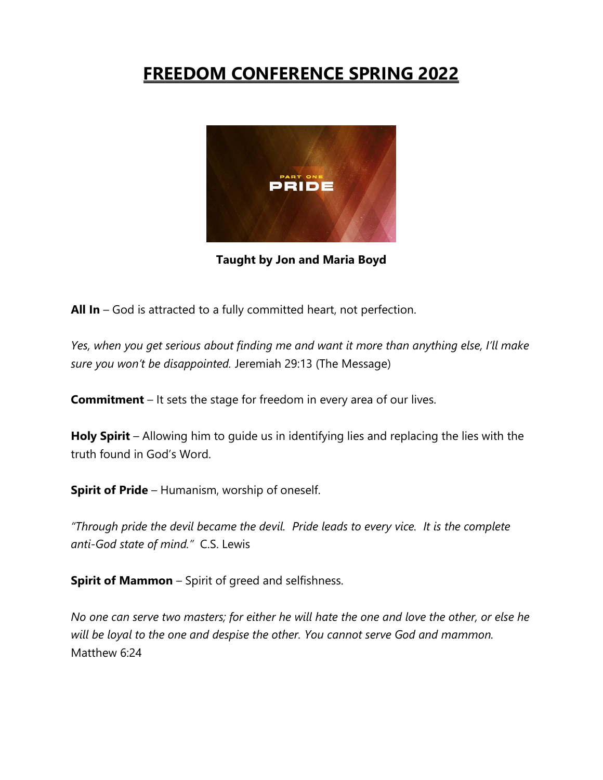# **FREEDOM CONFERENCE SPRING 2022**



**Taught by Jon and Maria Boyd**

**All In** – God is attracted to a fully committed heart, not perfection.

*Yes, when you get serious about finding me and want it more than anything else, I'll make sure you won't be disappointed.* Jeremiah 29:13 (The Message)

**Commitment** – It sets the stage for freedom in every area of our lives.

**Holy Spirit** – Allowing him to guide us in identifying lies and replacing the lies with the truth found in God's Word.

**Spirit of Pride** – Humanism, worship of oneself.

*"Through pride the devil became the devil. Pride leads to every vice. It is the complete anti-God state of mind."* C.S. Lewis

**Spirit of Mammon** – Spirit of greed and selfishness.

*No one can serve two masters; for either he will hate the one and love the other, or else he will be loyal to the one and despise the other. You cannot serve God and mammon.* Matthew 6:24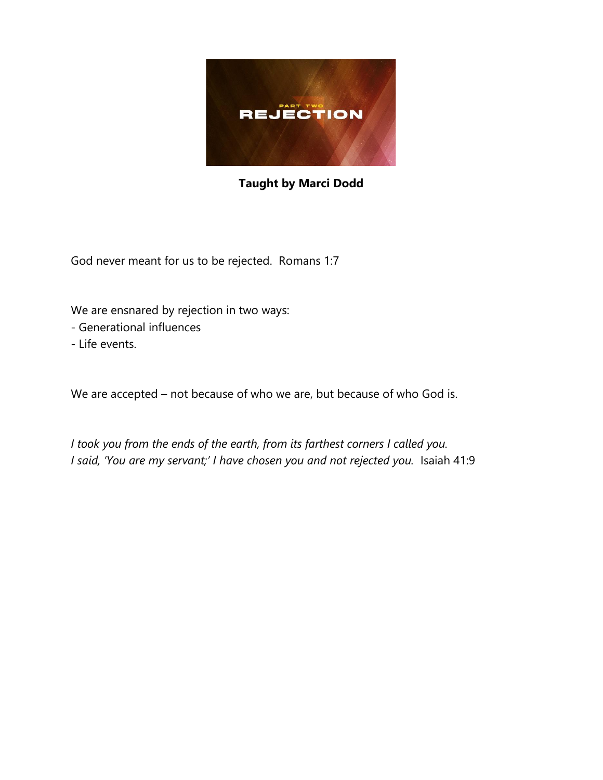

### **Taught by Marci Dodd**

God never meant for us to be rejected. Romans 1:7

We are ensnared by rejection in two ways:

- Generational influences
- Life events.

We are accepted – not because of who we are, but because of who God is.

*I took you from the ends of the earth, from its farthest corners I called you. I said, 'You are my servant;' I have chosen you and not rejected you.* Isaiah 41:9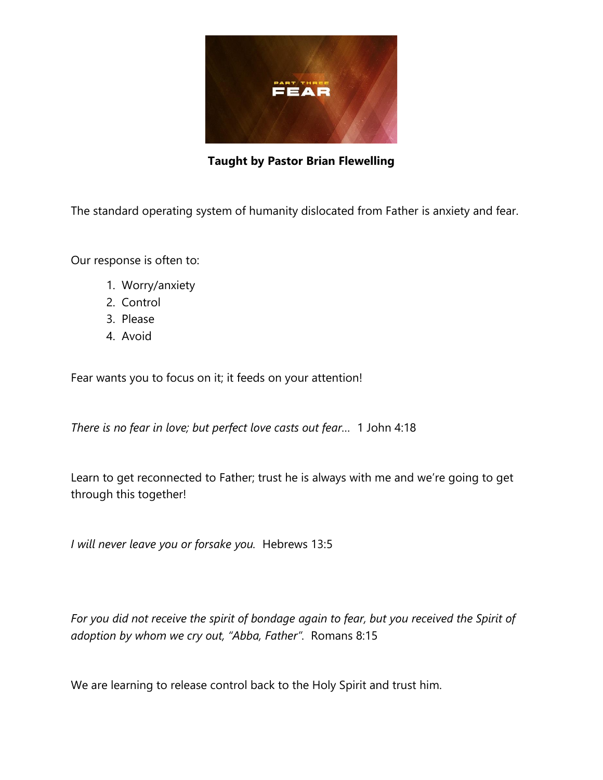

**Taught by Pastor Brian Flewelling**

The standard operating system of humanity dislocated from Father is anxiety and fear.

Our response is often to:

- 1. Worry/anxiety
- 2. Control
- 3. Please
- 4. Avoid

Fear wants you to focus on it; it feeds on your attention!

*There is no fear in love; but perfect love casts out fear…* 1 John 4:18

Learn to get reconnected to Father; trust he is always with me and we're going to get through this together!

*I will never leave you or forsake you.* Hebrews 13:5

*For you did not receive the spirit of bondage again to fear, but you received the Spirit of adoption by whom we cry out, "Abba, Father".* Romans 8:15

We are learning to release control back to the Holy Spirit and trust him.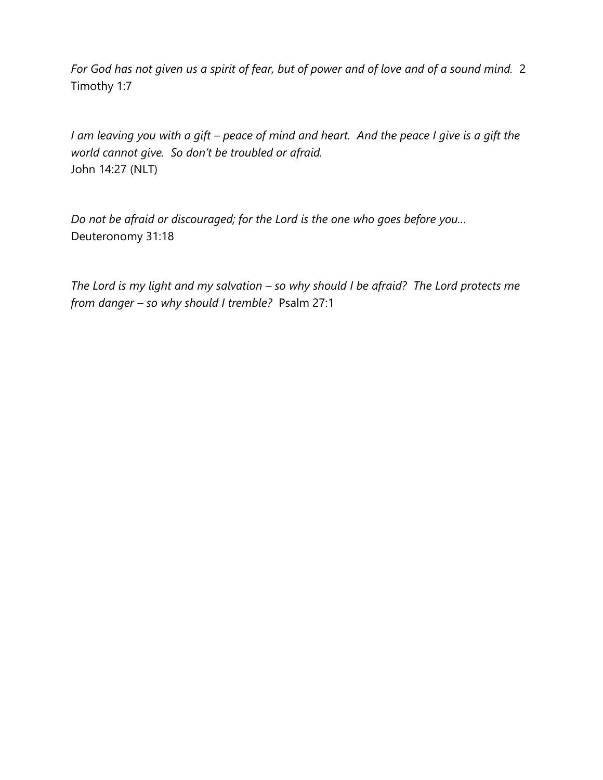*For God has not given us a spirit of fear, but of power and of love and of a sound mind.* 2 Timothy 1:7

*I am leaving you with a gift – peace of mind and heart. And the peace I give is a gift the world cannot give. So don't be troubled or afraid.* John 14:27 (NLT)

*Do not be afraid or discouraged; for the Lord is the one who goes before you…* Deuteronomy 31:18

*The Lord is my light and my salvation – so why should I be afraid? The Lord protects me from danger – so why should I tremble?* Psalm 27:1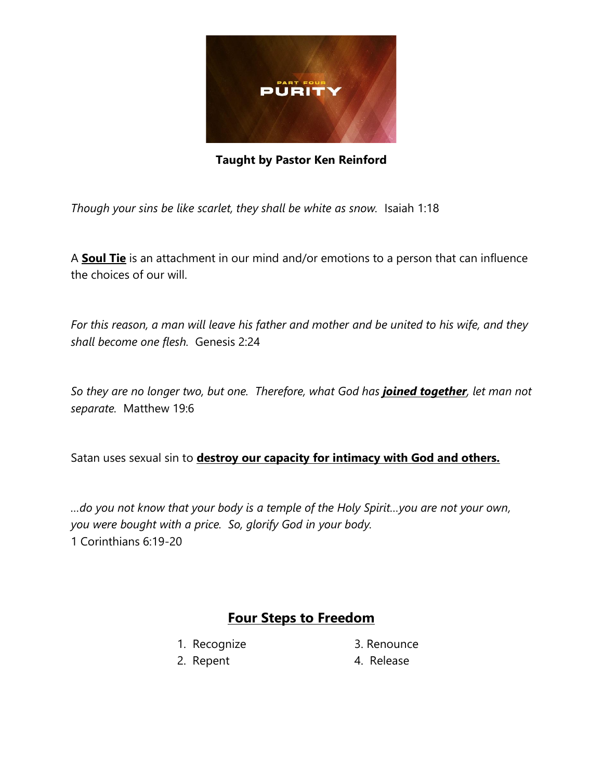

**Taught by Pastor Ken Reinford**

*Though your sins be like scarlet, they shall be white as snow.* Isaiah 1:18

A **Soul Tie** is an attachment in our mind and/or emotions to a person that can influence the choices of our will.

*For this reason, a man will leave his father and mother and be united to his wife, and they shall become one flesh.* Genesis 2:24

*So they are no longer two, but one. Therefore, what God has joined together, let man not separate.* Matthew 19:6

Satan uses sexual sin to **destroy our capacity for intimacy with God and others.**

*…do you not know that your body is a temple of the Holy Spirit…you are not your own, you were bought with a price. So, glorify God in your body.* 1 Corinthians 6:19-20

### **Four Steps to Freedom**

- 
- 1. Recognize 3. Renounce
- 2. Repent 4. Release
-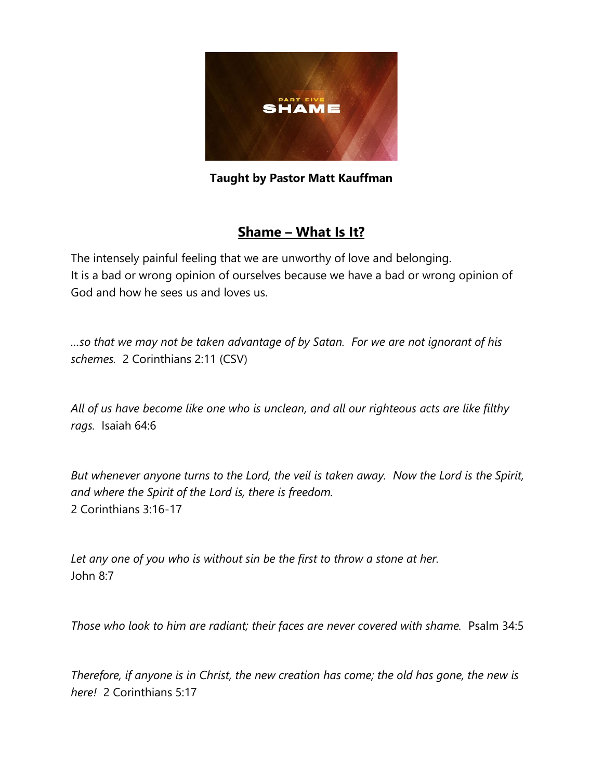

**Taught by Pastor Matt Kauffman**

## **Shame – What Is It?**

The intensely painful feeling that we are unworthy of love and belonging. It is a bad or wrong opinion of ourselves because we have a bad or wrong opinion of God and how he sees us and loves us.

*…so that we may not be taken advantage of by Satan. For we are not ignorant of his schemes.* 2 Corinthians 2:11 (CSV)

*All of us have become like one who is unclean, and all our righteous acts are like filthy rags.* Isaiah 64:6

*But whenever anyone turns to the Lord, the veil is taken away. Now the Lord is the Spirit, and where the Spirit of the Lord is, there is freedom.* 2 Corinthians 3:16-17

*Let any one of you who is without sin be the first to throw a stone at her.* John 8:7

*Those who look to him are radiant; their faces are never covered with shame.* Psalm 34:5

*Therefore, if anyone is in Christ, the new creation has come; the old has gone, the new is here!* 2 Corinthians 5:17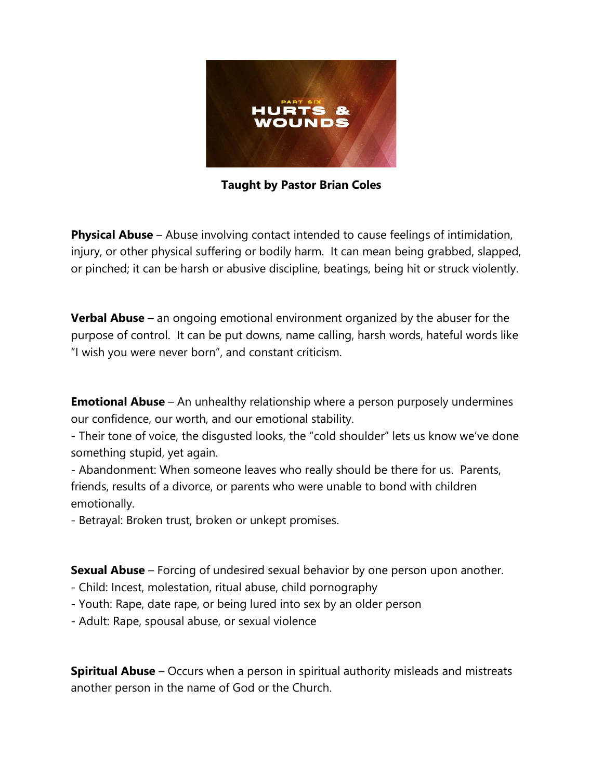

**Taught by Pastor Brian Coles**

**Physical Abuse** – Abuse involving contact intended to cause feelings of intimidation, injury, or other physical suffering or bodily harm. It can mean being grabbed, slapped, or pinched; it can be harsh or abusive discipline, beatings, being hit or struck violently.

**Verbal Abuse** – an ongoing emotional environment organized by the abuser for the purpose of control. It can be put downs, name calling, harsh words, hateful words like "I wish you were never born", and constant criticism.

**Emotional Abuse** – An unhealthy relationship where a person purposely undermines our confidence, our worth, and our emotional stability.

- Their tone of voice, the disgusted looks, the "cold shoulder" lets us know we've done something stupid, yet again.

- Abandonment: When someone leaves who really should be there for us. Parents, friends, results of a divorce, or parents who were unable to bond with children emotionally.

- Betrayal: Broken trust, broken or unkept promises.

**Sexual Abuse** – Forcing of undesired sexual behavior by one person upon another.

- Child: Incest, molestation, ritual abuse, child pornography
- Youth: Rape, date rape, or being lured into sex by an older person
- Adult: Rape, spousal abuse, or sexual violence

**Spiritual Abuse** – Occurs when a person in spiritual authority misleads and mistreats another person in the name of God or the Church.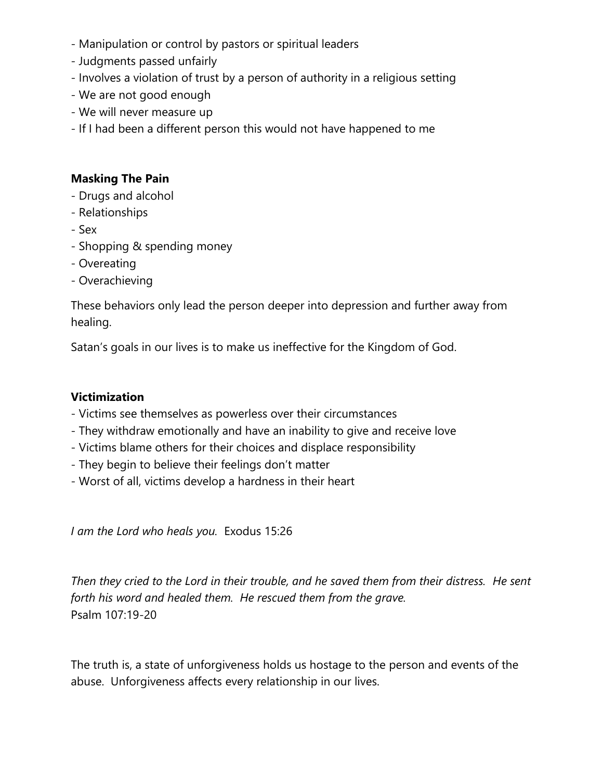- Manipulation or control by pastors or spiritual leaders
- Judgments passed unfairly
- Involves a violation of trust by a person of authority in a religious setting
- We are not good enough
- We will never measure up
- If I had been a different person this would not have happened to me

#### **Masking The Pain**

- Drugs and alcohol
- Relationships
- Sex
- Shopping & spending money
- Overeating
- Overachieving

These behaviors only lead the person deeper into depression and further away from healing.

Satan's goals in our lives is to make us ineffective for the Kingdom of God.

#### **Victimization**

- Victims see themselves as powerless over their circumstances
- They withdraw emotionally and have an inability to give and receive love
- Victims blame others for their choices and displace responsibility
- They begin to believe their feelings don't matter
- Worst of all, victims develop a hardness in their heart

*I am the Lord who heals you.* Exodus 15:26

*Then they cried to the Lord in their trouble, and he saved them from their distress. He sent forth his word and healed them. He rescued them from the grave.* Psalm 107:19-20

The truth is, a state of unforgiveness holds us hostage to the person and events of the abuse. Unforgiveness affects every relationship in our lives.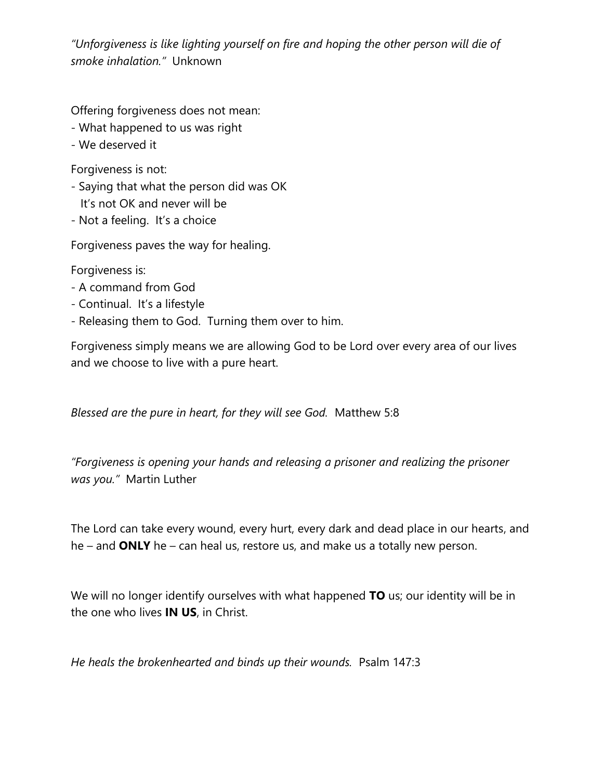*"Unforgiveness is like lighting yourself on fire and hoping the other person will die of smoke inhalation."* Unknown

Offering forgiveness does not mean:

- What happened to us was right
- We deserved it

Forgiveness is not:

- Saying that what the person did was OK It's not OK and never will be
- Not a feeling. It's a choice

Forgiveness paves the way for healing.

Forgiveness is:

- A command from God
- Continual. It's a lifestyle
- Releasing them to God. Turning them over to him.

Forgiveness simply means we are allowing God to be Lord over every area of our lives and we choose to live with a pure heart.

*Blessed are the pure in heart, for they will see God.* Matthew 5:8

*"Forgiveness is opening your hands and releasing a prisoner and realizing the prisoner was you."* Martin Luther

The Lord can take every wound, every hurt, every dark and dead place in our hearts, and he – and **ONLY** he – can heal us, restore us, and make us a totally new person.

We will no longer identify ourselves with what happened **TO** us; our identity will be in the one who lives **IN US**, in Christ.

*He heals the brokenhearted and binds up their wounds.* Psalm 147:3